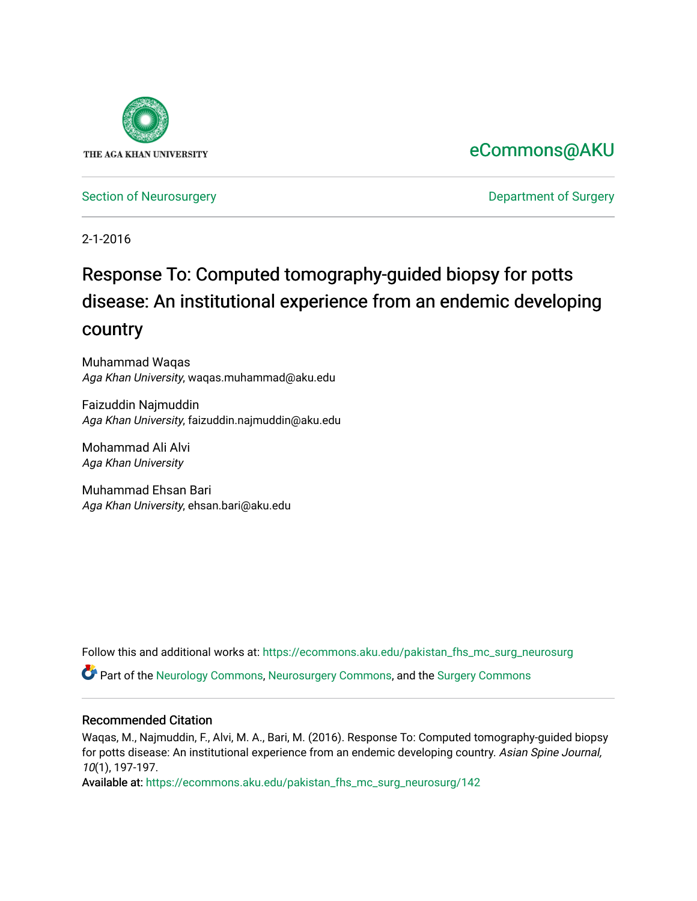

### [eCommons@AKU](https://ecommons.aku.edu/)

[Section of Neurosurgery](https://ecommons.aku.edu/pakistan_fhs_mc_surg_neurosurg) **Department of Surgery** Department of Surgery

2-1-2016

## Response To: Computed tomography-guided biopsy for potts disease: An institutional experience from an endemic developing country

Muhammad Waqas Aga Khan University, waqas.muhammad@aku.edu

Faizuddin Najmuddin Aga Khan University, faizuddin.najmuddin@aku.edu

Mohammad Ali Alvi Aga Khan University

Muhammad Ehsan Bari Aga Khan University, ehsan.bari@aku.edu

Follow this and additional works at: [https://ecommons.aku.edu/pakistan\\_fhs\\_mc\\_surg\\_neurosurg](https://ecommons.aku.edu/pakistan_fhs_mc_surg_neurosurg?utm_source=ecommons.aku.edu%2Fpakistan_fhs_mc_surg_neurosurg%2F142&utm_medium=PDF&utm_campaign=PDFCoverPages) 

Part of the [Neurology Commons](http://network.bepress.com/hgg/discipline/692?utm_source=ecommons.aku.edu%2Fpakistan_fhs_mc_surg_neurosurg%2F142&utm_medium=PDF&utm_campaign=PDFCoverPages), [Neurosurgery Commons](http://network.bepress.com/hgg/discipline/1428?utm_source=ecommons.aku.edu%2Fpakistan_fhs_mc_surg_neurosurg%2F142&utm_medium=PDF&utm_campaign=PDFCoverPages), and the [Surgery Commons](http://network.bepress.com/hgg/discipline/706?utm_source=ecommons.aku.edu%2Fpakistan_fhs_mc_surg_neurosurg%2F142&utm_medium=PDF&utm_campaign=PDFCoverPages) 

### Recommended Citation

Waqas, M., Najmuddin, F., Alvi, M. A., Bari, M. (2016). Response To: Computed tomography-guided biopsy for potts disease: An institutional experience from an endemic developing country. Asian Spine Journal, 10(1), 197-197.

Available at: [https://ecommons.aku.edu/pakistan\\_fhs\\_mc\\_surg\\_neurosurg/142](https://ecommons.aku.edu/pakistan_fhs_mc_surg_neurosurg/142)